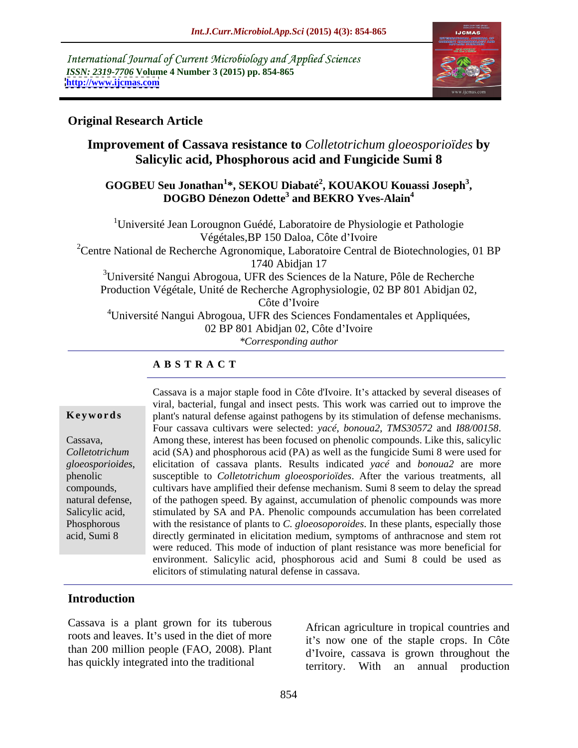International Journal of Current Microbiology and Applied Sciences *ISSN: 2319-7706* **Volume 4 Number 3 (2015) pp. 854-865 <http://www.ijcmas.com>**



## **Original Research Article**

# **Improvement of Cassava resistance to** *Colletotrichum gloeosporioïdes* **by**

## Salicylic acid, Phosphorous acid and Fungicide Sumi 8<br>GOGBEU Seu Jonathan<sup>1</sup>\*, SEKOU Diabaté<sup>2</sup>, KOUAKOU Kouassi Joseph<sup>3</sup>, <sup>l</sup>eu Jonathan<sup>1</sup>\*, SEKOU Diabaté<sup>2</sup>, KOUAKOU Kouassi Joseph<sup>3</sup>,<br>DOGBO Dénezon Odette<sup>3</sup> and BEKRO Yves-Alain<sup>4</sup>

<sup>1</sup>Université Jean Lorougnon Guédé, Laboratoire de Physiologie et Pathologie Végétales,BP 150 Daloa, Côte d Ivoire <sup>2</sup>Centre National de Recherche Agronomique, Laboratoire Central de Biotechnologies, 01 BP 1740 Abidjan 17 <sup>3</sup>Université Nangui Abrogoua, UFR des Sciences de la Nature, Pôle de Recherche

Production Végétale, Unité de Recherche Agrophysiologie, 02 BP 801 Abidjan 02,

Côte d'Ivoire

4Université Nangui Abrogoua, UFR des Sciences Fondamentales et Appliquées,

02 BP 801 Abidjan 02, Côte d'Ivoire

*\*Corresponding author*

## **A B S T R A C T**

acid, Sumi 8

Cassava is a major staple food in Côte d'Ivoire. It's attacked by several diseases of viral, bacterial, fungal and insect pests. This work was carried out to improve the plant's natural defense against pathogens by its stimulation of defensemechanisms. **Ke ywo rds** Four cassava cultivars were selected: *yacé*, *bonoua2*, *TMS30572* and *I88/00158*.<br>Cassava, Among these, interest has been focused on phenolic compounds. Like this, salicylic acid (SA) and phosphorous acid (PA) as well as the fungicide Sumi 8 were used for *Colletotrichum*  elicitation of cassava plants. Results indicated *yacé* and *bonoua2* are more gloeosporioides, elicitation of cassava plants. Results indicated *yacé* and *bonoua*2 are more susceptible to *Colletotrichum gloeosporioïdes*. After the various treatments, all compounds, cultivars have amplified their defense mechanism. Sumi 8 seem to delay the spread natural defense,  $\Box$  of the pathogen speed. By against, accumulation of phenolic compounds was more Salicylic acid, Satimulated by SA and PA. Phenolic compounds accumulation has been correlated Phosphorous with the resistance of plants to *C. gloeosoporoides*. In these plants, especially those directly germinated in elicitation medium, symptoms of anthracnose and stem rot were reduced. This mode of induction of plant resistance was more beneficial for environment. Salicylic acid, phosphorous acid and Sumi 8 could be used as elicitors of stimulating natural defense in cassava.

## **Introduction**

Cassava is a plant grown for its tuberous roots and leaves. It's used in the diet of more than 200 million people (FAO, 2008). Plant has quickly integrated into the traditional

African agriculture in tropical countries and it's now one of the staple crops. In Côte d'Ivoire, cassava is grown throughout the territory. With an annual production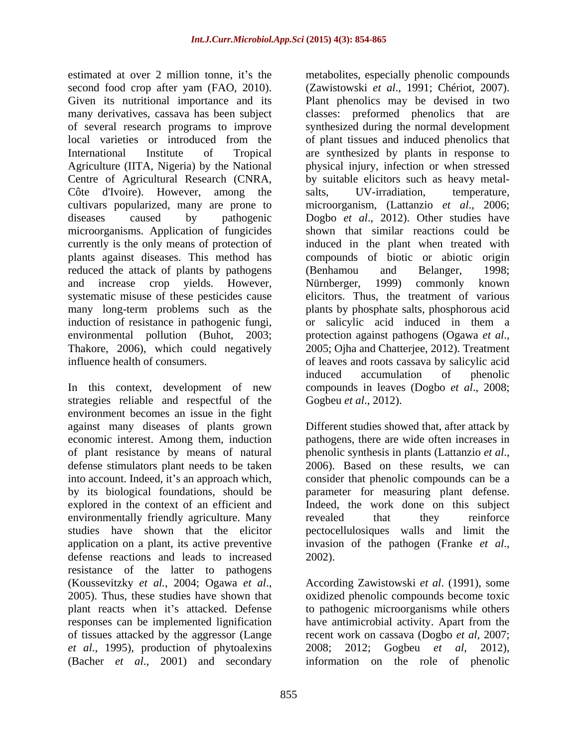Centre of Agricultural Research (CNRA, Côte d'Ivoire). However, among the salts, UV-irradiation, temperature, plants against diseases. This method has reduced the attack of plants by pathogens (Benhamou and Belanger, 1998; systematic misuse of these pesticides cause many long-term problems such as the environmental pollution (Buhot, 2003; protection against pathogens (Ogawa et al., Thakore, 2006), which could negatively 2005; Ojha and Chatterjee, 2012). Treatment

In this context, development of new strategies reliable and respectful of the environment becomes an issue in the fight economic interest. Among them, induction of plant resistance by means of natural phenolic synthesis in plants (Lattanzio et al., defense stimulators plant needs to be taken 2006). Based on these results, we can into account. Indeed, it's an approach which, consider that phenolic compounds can be a explored in the context of an efficient and environmentally friendly agriculture. Many revealed that they reinforce application on a plant, its active preventive invasion of the pathogen (Franke et al., defense reactions and leads to increased 2002). resistance of the latter to pathogens *et al*., 1995), production of phytoalexins (Bacher *et al*., 2001) and secondary information on the role of phenolic

estimated at over 2 million tonne, it's the metabolites, especially phenolic compounds second food crop after yam (FAO, 2010). (Zawistowski *et al*., 1991; Chériot, 2007). Given its nutritional importance and its Plant phenolics may be devised in two many derivatives, cassava has been subject classes: preformed phenolics that are of several research programs to improve synthesized during the normal development local varieties or introduced from the of plant tissues and induced phenolics that International Institute of Tropical are synthesized by plants in response to Agriculture (IITA, Nigeria) by the National physical injury, infection or when stressed cultivars popularized, many are prone to microorganism, (Lattanzio *et al*., 2006; diseases caused by pathogenic Dogbo *et al*., 2012). Other studies have microorganisms. Application of fungicides shown that similar reactions could be currently is the only means of protection of induced in the plant when treated with and increase crop yields. However, induction of resistance in pathogenic fungi, or salicylic acid induced in them a influence health of consumers. of leaves and roots cassava by salicylic acid by suitable elicitors such as heavy metal salts, UV-irradiation, temperature, compounds of biotic or abiotic origin (Benhamou and Belanger, 1998; Nürnberger, 1999) commonly known elicitors. Thus, the treatment of various plants by phosphate salts, phosphorous acid protection against pathogens (Ogawa *et al*., 2005; Ojha and Chatterjee, 2012). Treatment induced accumulation of phenolic compounds in leaves (Dogbo *et al*., 2008; Gogbeu *et al*., 2012).

against many diseases of plants grown Different studies showed that, after attack by into account. Indeed, it's an approach which, consider that phenolic compounds can be a by its biological foundations, should be parameter for measuring plant defense. studies have shown that the elicitor pectocellulosiques walls and limit the pathogens, there are wide often increases in phenolic synthesis in plants (Lattanzio *et al*., 2006). Based on these results, we can Indeed, the work done on this subject revealed that they reinforce invasion of the pathogen (Franke *et al*., 2002).

(Koussevitzky *et al.*, 2004; Ogawa *et al*., According Zawistowski *et al*. (1991), some 2005). Thus, these studies have shown that oxidized phenolic compounds become toxic plant reacts when it's attacked. Defense to pathogenic microorganisms while others responses can be implemented lignification have antimicrobial activity. Apart from the of tissues attacked by the aggressor (Lange recent work on cassava (Dogbo *et al*, 2007; 2008; 2012; Gogbeu *et al*, 2012),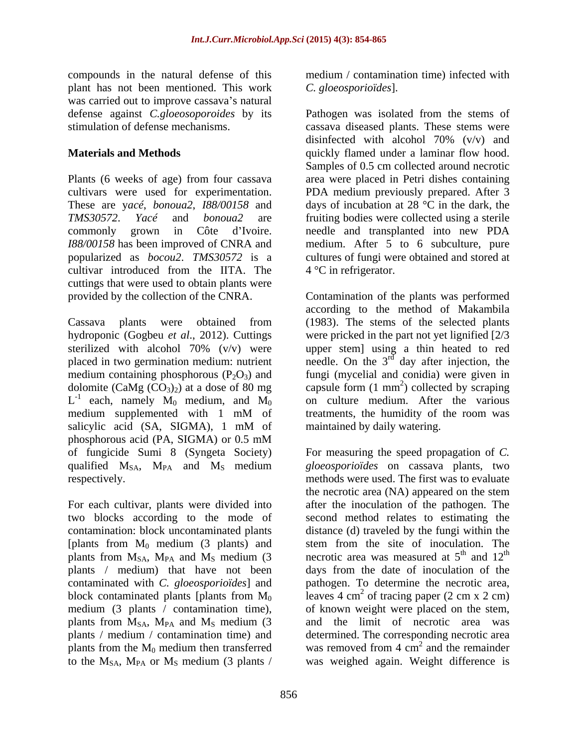compounds in the natural defense of this plant has not been mentioned. This work was carried out to improve cassava's natural

cultivar introduced from the IITA. The cuttings that were used to obtain plants were

dolomite (CaMg  $(CO_3)_2$ ) at a dose of 80 mg salicylic acid (SA, SIGMA), 1 mM of maintained by daily watering. phosphorous acid (PA, SIGMA) or 0.5 mM qualified  $M_{SA}$ ,  $M_{PA}$  and  $M_S$  medium

[plants from  $M_0$  medium (3 plants) and plants from  $M<sub>SA</sub>$ ,  $M<sub>PA</sub>$  and  $M<sub>S</sub>$  medium (3) contaminated with *C. gloeosporioïdes*] and plants from  $M<sub>SA</sub>$ ,  $M<sub>PA</sub>$  and  $M<sub>S</sub>$  medium (3) plants from the  $M_0$  medium then transferred to the  $M<sub>SA</sub>$ ,  $M<sub>PA</sub>$  or  $M<sub>S</sub>$  medium (3 plants /

medium / contamination time) infected with *C. gloeosporioïdes*].

defense against *C.gloeosoporoides* by its Pathogen was isolated from the stems of stimulation of defense mechanisms. cassava diseased plants. These stems were **Materials and Methods Example 20** and **Methods number a laminar flow hood.** Plants (6 weeks of age) from four cassava area were placed in Petri dishes containing cultivars were used for experimentation. PDA medium previously prepared. After 3 These are y*acé*, *bonoua2*, *I88/00158* and days of incubation at 28 °C in the dark, the *TMS30572*. *Yacé* and *bonoua2* are fruiting bodies were collected using a sterile commonly grown in Côte d'Ivoire. In eedle and transplanted into new PDA *I88/00158* has been improved of CNRA and medium. After 5 to 6 subculture, pure popularized as *bocou2*. *TMS30572* is a cultures of fungi were obtained and stored at disinfected with alcohol 70% (v/v) and Samples of 0.5 cm collected around necrotic 4 °C in refrigerator.

provided by the collection of the CNRA. Contamination of the plants was performed Cassava plants were obtained from (1983). The stems of the selected plants hydroponic (Gogbeu *et al*., 2012). Cuttings were pricked in the part not yet lignified [2/3 sterilized with alcohol 70% (v/v) were upper stem] using a thin heated to red placed in two germination medium: nutrient needle. On the  $3<sup>rd</sup>$  day after injection, the medium containing phosphorous  $(P_2O_3)$  and fungi (mycelial and conidia) were given in  $L^{-1}$  each, namely  $M_0$  medium, and  $M_0$  on culture medium. After the various each, namely  $M_0$  medium, and  $M_0$  on culture medium. After the various medium supplemented with 1 mM of treatments, the humidity of the room was according to the method of Makambila capsule form  $(1 \text{ mm}^2)$  collected by scraping ) collected by scraping treatments, the humidity of the room was maintained by daily watering.

of fungicide Sumi 8 (Syngeta Society) For measuring the speed propagation of *C.*  respectively. methods were used. The first was to evaluate For each cultivar, plants were divided into after the inoculation of the pathogen.The two blocks according to the mode of second method relates to estimating the contamination: block uncontaminated plants distance (d) traveled by the fungi within the plants / medium) that have not been days from the date of inoculation of the block contaminated plants [plants from  $M_0$  leaves 4 cm<sup>2</sup> of tracing paper (2 cm x 2 cm) medium (3 plants / contamination time), of known weight were placed on the stem, plants / medium / contamination time) and determined. The corresponding necrotic area *gloeosporioïdes* on cassava plants, two the necrotic area (NA) appeared on the stem stem from the site of inoculation. The necrotic area was measured at  $5<sup>th</sup>$  and  $12<sup>th</sup>$ th and  $12^{th}$ and  $12^{\text{th}}$ th pathogen. To determine the necrotic area, of tracing paper (2 cm x 2 cm) and the limit of necrotic area was was removed from  $4 \text{ cm}^2$  and the remainder  $^{2}$  and the remainder and the remainder was weighed again. Weight difference is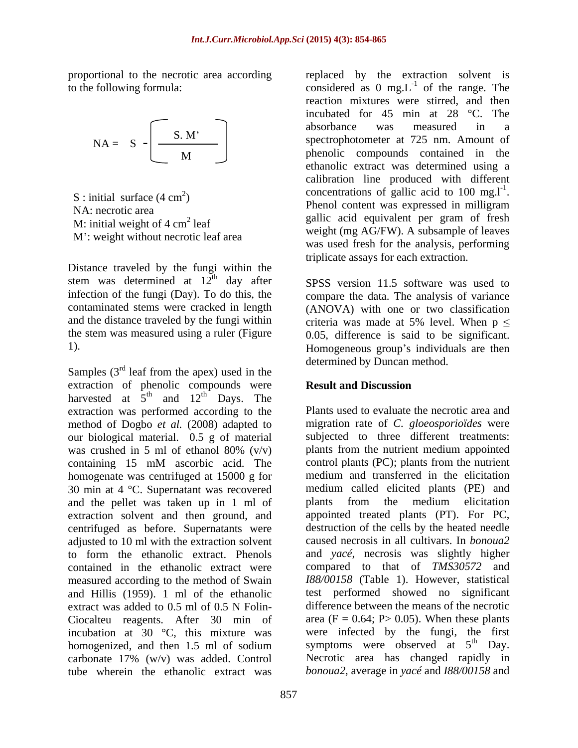proportional to the necrotic area according replaced by the extraction solvent is

$$
NA = S - \boxed{\begin{array}{c} S.M' \\ \hline M \end{array}}
$$

M: initial weight of  $4 \text{ cm}^2$  leaf

Distance traveled by the fungi within the stem was determined at  $12<sup>th</sup>$  day after stem was determined at  $12^{th}$  day after SPSS version 11.5 software was used to

Samples  $(3<sup>rd</sup>$  leaf from the apex) used in the  $r<sup>d</sup>$  leaf from the apex) used in the extraction of phenolic compounds were **Result and Discussion** harvested at  $5^{\text{th}}$  and  $12^{\text{th}}$  Days. The and  $12^{\text{th}}$  Days. The  $\text{days}$ . The extraction was performed according to the method of Dogbo *et al.* (2008) adapted to our biological material. 0.5 g of material homogenate was centrifuged at 15000 g for 30 min at 4 °C. Supernatant was recovered and the pellet was taken up in 1 ml of plants from the medium elicitation extraction solvent and then ground, and centrifuged as before. Supernatants were adjusted to 10 ml with the extraction solvent contained in the ethanolic extract were measured according to the method of Swain extract was added to 0.5 ml of 0.5 N Folin- Ciocalteu reagents. After 30 min of incubation at 30 °C, this mixture was carbonate 17% (w/v) was added. Control Necrotic area has changed rapidly in tube wherein the ethanolic extract was *bonoua2*, average in *yacé* and *I88/00158* and

to the following formula:  $\qquad \qquad \text{considered as } 0 \text{ mg.L}^{-1} \text{ of the range. The}$  $^{-1}$  of the renge The of the range. The reaction mixtures were stirred, and then incubated for 45 min at 28 °C. The absorbance was measured in a spectrophotometer at 725 nm. Amount of phenolic compounds contained in the ethanolic extract was determined using a calibration line produced with different concentrations of gallic acid to 100 mg. $l^{-1}$ . concentrations of gallic acid to 100 mg.l<sup>-1</sup>.<br>Phenol content was expressed in milligram NA: necrotic area  $\frac{1}{2}$  henor collective was expressed in imaginary  $\frac{1}{2}$  henor collective was expressed in imaginary  $\frac{1}{2}$  henor collective was expressed in imaginary leaf gaine acid equivalent per grain of fresh<br>
leaf area weight (mg AG/FW). A subsample of leaves was used fresh for the analysis, performing triplicate assays for each extraction.  $NA = S - \left( \frac{3.10}{M} \right)$  spectrophotometer at 725 nm. Amount of phenolic compounds contained in the S. M  $S:$  initial surface  $(4 \text{ cm}^2)$  concentrations of gallic acid to 100 mg.1.  $S: initial surface (4 cm<sup>2</sup>)$  concentrations of gainc actor to 100 mg.  $M'$ : weight without necrotic leaf area  $M''$  weight  $\lim_{n \to \infty} A \cup T'W$ . A subsample of leaves

infection of the fungi (Day). To do this, the compare the data. The analysis of variance contaminated stems were cracked in length (ANOVA) with one or two classification and the distance traveled by the fungi within criteria was made at 5% level. When  $p \leq$ the stem was measured using a ruler(Figure 0.05, difference is said to be significant. 1). Homogeneous group's individuals are then determined by Duncan method.

## **Result and Discussion**

was crushed in 5 ml of ethanol 80%  $(v/v)$  plants from the nutrient medium appointed containing 15 mM ascorbic acid. The to form the ethanolic extract. Phenols and *yacé*, necrosis was slightly higher and Hillis (1959). 1 ml of the ethanolic test performed showed no significant homogenized, and then 1.5 ml of sodium symptoms were observed at  $5<sup>th</sup>$  Day. Plants used to evaluate the necrotic area and migration rate of *C. gloeosporioïdes* were subjected to three different treatments: plants from the nutrient medium appointed control plants (PC); plants from the nutrient medium and transferred in the elicitation medium called elicited plants (PE) and plants from the medium elicitation appointed treated plants (PT). For PC, destruction of the cells by the heated needle caused necrosis in all cultivars. In *bonoua2* compared to that of *TMS30572* and *I88/00158* (Table 1). However, statistical difference between the means of the necrotic area (F =  $0.64$ ; P  $> 0.05$ ). When these plants were infected by the fungi, the first symptoms were observed at 5<sup>th</sup> Day.<br>Necrotic area has changed rapidly in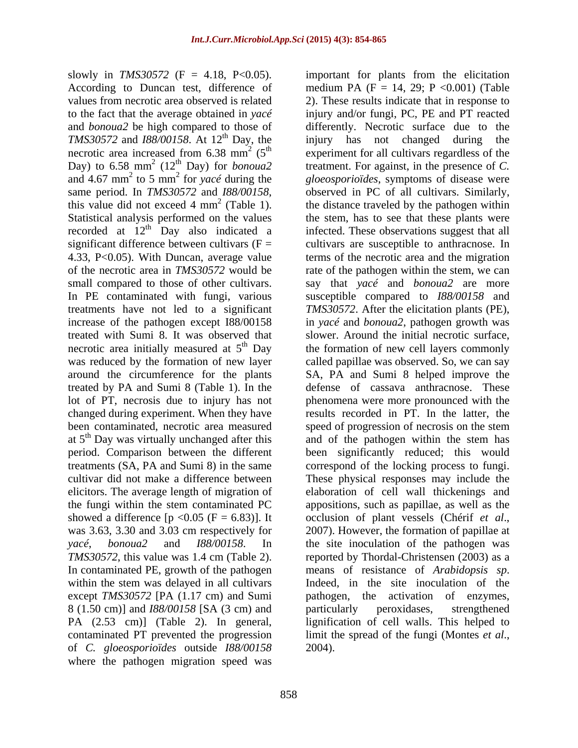*TMS30572* and *I88/00158*. At 12<sup>th</sup> Day, the injury has not changed during the necrotic area increased from 6.38 mm<sup>2</sup> (5<sup>th</sup> experiment for all cultivars regardless of the Statistical analysis performed on the values recorded at  $12<sup>th</sup>$  Day also indicated a In PE contaminated with fungi, various treated with Sumi 8. It was observed that around the circumference for the plants lot of PT, necrosis due to injury has not been contaminated, necrotic area measured speed of progression of necrosis on the stem at  $5<sup>th</sup>$  Day was virtually unchanged after this period. Comparison between the different treatments (SA, PA and Sumi 8) in the same correspond of the locking process to fungi. cultivar did not make a difference between These physical responses may include the showed a difference  $[p \le 0.05$  (F = 6.83)]. It occlusion of plant vessels (Chérif *et al.*, was 3.63, 3.30 and 3.03 cm respectively for 2007). However, the formation of papillae at In contaminated PE, growth of the pathogen means of resistance of *Arabidopsis sp.* within the stem was delayed in all cultivars and indeed, in the site inoculation of the 8 (1.50 cm)] and *I88/00158* [SA (3 cm) and contaminated PT prevented the progression limit the spread of the fungi (Montes *et al.*, of *C. gloeosporioïdes* outside *I88/00158* where the pathogen migration speed was

slowly in *TMS30572* ( $F = 4.18$ ,  $P < 0.05$ ). important for plants from the elicitation According to Duncan test, difference of medium PA  $(F = 14, 29; P < 0.001)$  (Table values from necrotic area observed is related 2). These results indicate that in response to to the fact that the average obtained in *yacé* injury and/orfungi, PC, PE and PT reacted and *bonoua2* be high compared to those of differently. Necrotic surface due to the <sup>th</sup> Day, the injury has not changed during the necrotic area increased from 6.38 mm<sup>2</sup> (5<sup>th</sup> experiment for all cultivars regardless of the Day) to 6.58 mm<sup>2</sup> (12<sup>th</sup> Day) for *bonoua2* treatment. For against, in the presence of *C*. and 4.67 mm 2 to 5 mm 2 for *yacé* during the *gloeosporioïdes*, symptoms of disease were same period. In *TMS30572* and *I88/00158*, beserved in PC of all cultivars. Similarly, this value did not exceed 4 mm<sup>2</sup> (Table 1). the distance traveled by the pathogen within  $2^2$  (Table 1). the distance traveled by the pathogen within significant difference between cultivars  $(F =$  cultivars are susceptible to anthracnose. In 4.33, P<0.05). With Duncan, average value terms of the necrotic area and the migration of the necrotic area in *TMS30572* would be rate of the pathogen within the stem, we can small compared to those of other cultivars. say that *yacé* and *bonoua2* are more treatments have not led to a significant *TMS30572*. After the elicitation plants (PE), increase of the pathogen except I88/00158 in *yacé* and *bonoua2*, pathogen growth was necrotic area initially measured at  $5<sup>th</sup>$  Day the formation of new cell layers commonly was reduced by the formation of new layer called papillae was observed. So, we can say treated by PA and Sumi 8 (Table 1). In the defense of cassava anthracnose. These changed during experiment. When they have results recorded in PT. In the latter, the at 5<sup>th</sup> Day was virtually unchanged after this and of the pathogen within the stem has period. Comparison between the different been significantly reduced; this would elicitors. The average length of migration of elaboration of cell wall thickenings and the fungi within the stem contaminated PC appositions, such as papillae, as well as the *yacé*, *bonoua2* and *I88/00158*. In the site inoculation of the pathogen was *TMS30572*, this value was 1.4 cm (Table 2). reported by Thordal-Christensen (2003) as a except *TMS30572* [PA (1.17 cm) and Sumi pathogen, the activation of enzymes, PA (2.53 cm)] (Table 2). In general, lignification of cell walls. This helped to observed in PC of all cultivars. Similarly, the stem, has to see that these plants were infected. These observations suggest that all susceptible compared to *I88/00158* and slower. Around the initial necrotic surface, SA, PA and Sumi 8 helped improve the phenomena were more pronounced with the speed of progression of necrosis on the stem correspond of the locking process to fungi. These physical responses may include the occlusion of plant vessels (Chérif *et al*., 2007). However, the formation of papillae at means of resistance of *Arabidopsis sp*. Indeed, in the site inoculation of the particularly peroxidases, strengthened limit the spread of the fungi (Montes *et al*., 2004).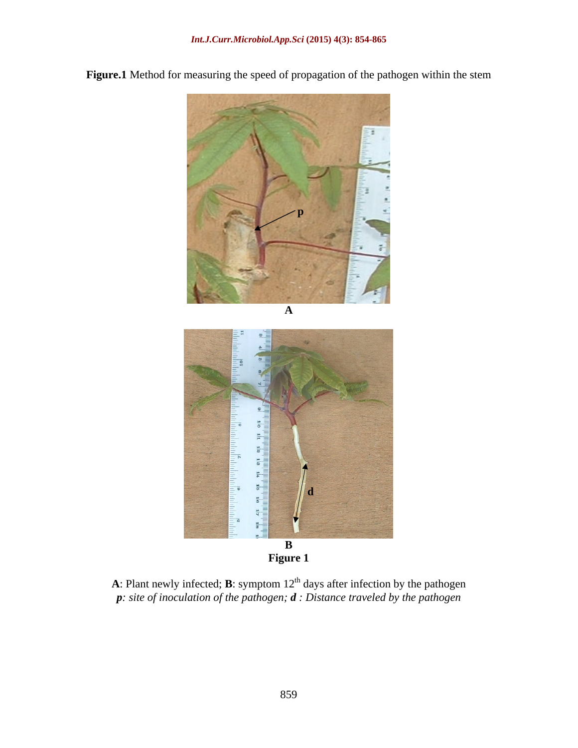**Figure.1** Method for measuring the speed of propagation of the pathogen within the stem

**A p**





**Figure 1**

**A**: Plant newly infected; **B**: symptom  $12<sup>th</sup>$  days after infection by the pathogen *p: site of inoculation of the pathogen; d : Distance traveled by the pathogen*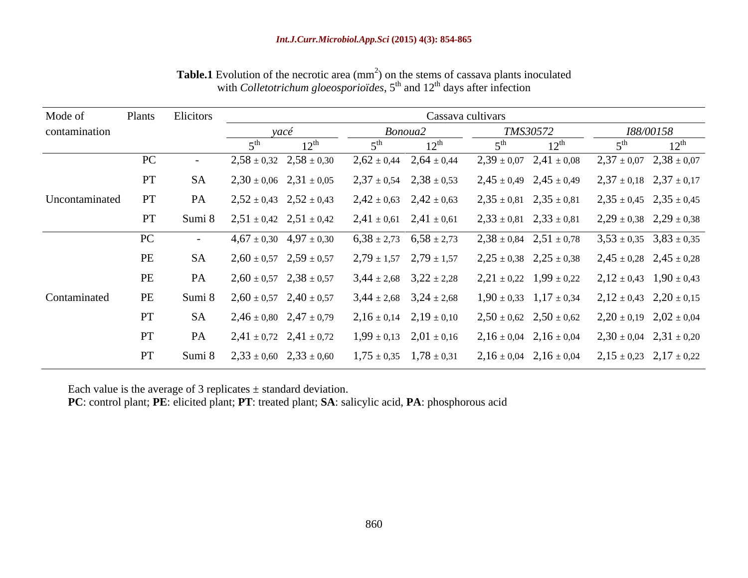| Mode of        | Plants    | Elicitors |                                 |                                 |                                 | Cassava cultivars |                                 |                                                                                                                                 |
|----------------|-----------|-----------|---------------------------------|---------------------------------|---------------------------------|-------------------|---------------------------------|---------------------------------------------------------------------------------------------------------------------------------|
| contamination  |           |           | vacé                            |                                 | Bonoua2                         |                   | <i>TMS30572</i>                 | 188/00158                                                                                                                       |
|                |           |           |                                 | $12^{th}$                       |                                 |                   | 1 $\mathcal{D}^{\text{th}}$     | $12^{\text{th}}$                                                                                                                |
|                | PC        |           | $2,58 \pm 0,32$ $2,58 \pm 0,30$ |                                 | $2,62 \pm 0,44$ $2,64 \pm 0,44$ |                   | $2,39 \pm 0.07$ $2,41 \pm 0.08$ | $2,37 \pm 0.07$ $2,38 \pm 0.07$                                                                                                 |
|                | PT        | SA.       |                                 |                                 |                                 |                   |                                 | $2,30 \pm 0.06$ $2,31 \pm 0.05$ $2,37 \pm 0.54$ $2,38 \pm 0.53$ $2,45 \pm 0.49$ $2,45 \pm 0.49$ $2,37 \pm 0.18$ $2,37 \pm 0.17$ |
| Uncontaminated | <b>PT</b> | PA –      |                                 |                                 |                                 |                   |                                 | $2,52 \pm 0.43$ $2,52 \pm 0.43$ $2,42 \pm 0.63$ $2,42 \pm 0.63$ $2,35 \pm 0.81$ $2,35 \pm 0.81$ $2,35 \pm 0.45$ $2,35 \pm 0.45$ |
|                | PT        | Sumi 8    |                                 |                                 |                                 |                   |                                 | $2,51 \pm 0.42$ $2,51 \pm 0.42$ $2,41 \pm 0.61$ $2,41 \pm 0.61$ $2,33 \pm 0.81$ $2,33 \pm 0.81$ $2,29 \pm 0.38$ $2,29 \pm 0.38$ |
|                | PC        |           |                                 |                                 |                                 |                   |                                 | $4,67 \pm 0,30$ $4,97 \pm 0,30$ $6,38 \pm 2,73$ $6,58 \pm 2,73$ $2,38 \pm 0,84$ $2,51 \pm 0,78$ $3,53 \pm 0,35$ $3,83 \pm 0,35$ |
|                | PE        | -SA       |                                 |                                 |                                 |                   |                                 | $2,60 \pm 0.57$ $2,59 \pm 0.57$ $2,79 \pm 1.57$ $2,79 \pm 1.57$ $2,25 \pm 0.38$ $2,25 \pm 0.38$ $2,45 \pm 0.28$ $2,45 \pm 0.28$ |
|                | PE        | <b>PA</b> |                                 |                                 |                                 |                   |                                 | $2,60 \pm 0.57$ $2,38 \pm 0.57$ $3,44 \pm 2,68$ $3,22 \pm 2,28$ $2,21 \pm 0.22$ $1,99 \pm 0.22$ $2,12 \pm 0.43$ $1,90 \pm 0.43$ |
| Contaminated   | PE        | Sumi 8    |                                 | $2,60 \pm 0.57$ $2,40 \pm 0.57$ |                                 |                   |                                 | $3,44 \pm 2,68$ $3,24 \pm 2,68$ $1,90 \pm 0,33$ $1,17 \pm 0,34$ $2,12 \pm 0,43$ $2,20 \pm 0,15$                                 |
|                | PT        | SA.       |                                 |                                 |                                 |                   |                                 | $2,46 \pm 0,80$ $2,47 \pm 0,79$ $2,16 \pm 0,14$ $2,19 \pm 0,10$ $2,50 \pm 0,62$ $2,50 \pm 0,62$ $2,20 \pm 0,19$ $2,02 \pm 0,04$ |
|                | PT        | <b>PA</b> |                                 |                                 |                                 |                   |                                 | $2,41 \pm 0.72$ $2,41 \pm 0.72$ $1,99 \pm 0.13$ $2,01 \pm 0.16$ $2,16 \pm 0.04$ $2,16 \pm 0.04$ $2,30 \pm 0.04$ $2,31 \pm 0.20$ |
|                | PT        | -Sumi 8   | $2.33 \pm 0.60$ $2.33 \pm 0.60$ |                                 |                                 |                   |                                 | $1,75 \pm 0,35$ $1,78 \pm 0,31$ $2,16 \pm 0,04$ $2,16 \pm 0,04$ $2,15 \pm 0,23$ $2,17 \pm 0,22$                                 |

**Table.1** Evolution of the necrotic area  $(mm^2)$  on the stems of cassava plants inoculated with *Colletotrichum gloeosporioïdes*, 5<sup>th</sup> and 12<sup>th</sup> days after infection

Each value is the average of 3 replicates  $\pm$  standard deviation.

**PC**: control plant; **PE**: elicited plant; **PT**: treated plant; **SA**: salicylic acid, **PA**: phosphorous acid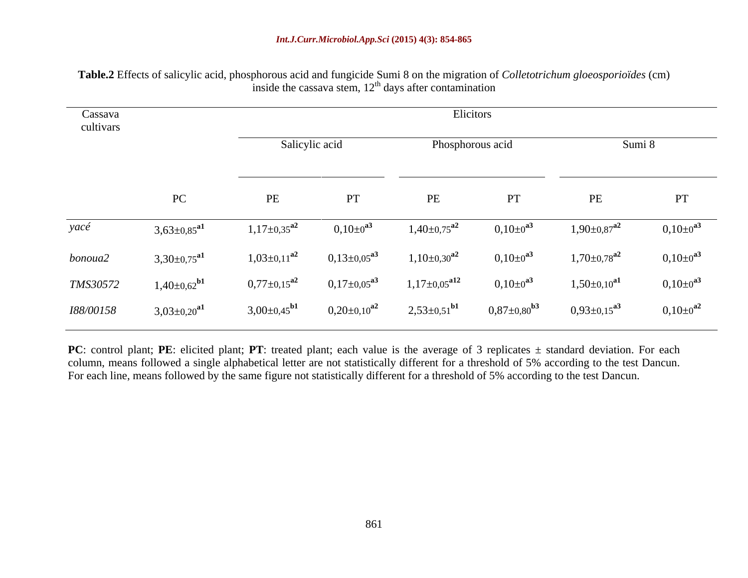| Cassava<br>cultivars |                               | Elicitors                     |                          |                                 |                               |                                               |                                       |  |  |  |  |
|----------------------|-------------------------------|-------------------------------|--------------------------|---------------------------------|-------------------------------|-----------------------------------------------|---------------------------------------|--|--|--|--|
|                      |                               | Salicylic acid                |                          | Phosphorous acid                |                               | Sumi 8                                        |                                       |  |  |  |  |
|                      | PC                            | PE                            | PT                       | PE                              | PT                            | PE                                            | PT                                    |  |  |  |  |
| yacé                 | $3,63 \pm 0,85$ <sup>a1</sup> | $1,17\pm0,35^{a2}$            | $0,10\pm0^{\textbf{a3}}$ | $1,40 \pm 0.75$ <sup>a2</sup>   | $0,10{\pm}0^{\mathrm{a3}}$    | $1{,}90{\scriptstyle \pm 0.87}^{\mathrm{a2}}$ | $0{,}10{\scriptstyle \pm 0}^{\rm a3}$ |  |  |  |  |
| bonoua2              | $3,30 \pm 0.75$ <sup>a1</sup> | $1,03 \pm 0,11^{a2}$          | $0,13\pm0.05^{a3}$       | $1{,}10{\pm}0{,}30^{\text{a2}}$ | $0,10\pm0^{a3}$               | $1{,}70{\scriptstyle \pm 0{,}78}^{\rm a2}$    | $0,10\pm0^{a3}$                       |  |  |  |  |
| TMS30572             | $1,40{\pm}0.62^{\rm b1}$      | $0,77{\pm}0,15^{\mathrm{a2}}$ | $0,17\pm0.05^{a3}$       | $1,17\pm0.05^{a12}$             | $0,10\pm0^{a3}$               | $1,50 \pm 0,10^{\textbf{a1}}$                 | $0,10\pm0^{\textbf{a3}}$              |  |  |  |  |
| 188/00158            | $3,03 \pm 0,20^{a1}$          | $3,00 \pm 0,45^{\text{b1}}$   | $0,20 \pm 0,10^{a2}$     | $2,53\pm0,51$ <sup>b1</sup>     | $0,87{\pm0.80}^{\mathrm{b3}}$ | $0,93\pm0,15^{a3}$                            | $0,10{\pm}0^{\mathrm{a}2}$            |  |  |  |  |

**Table.2** Effects of salicylic acid, phosphorous acid and fungicide Sumi 8 on the migration of *Colletotrichum gloeosporioïdes* (cm) inside the cassava stem,  $12<sup>th</sup>$  days after contamination

**PC**: control plant; **PE**: elicited plant; **PT**: treated plant; each value is the average of 3 replicates  $\pm$  standard deviation. For each column, means followed a single alphabetical letter are not statistically different for a threshold of 5% according to the test Dancun. For each line, means followed by the same figure not statistically different for a threshold of 5% according to the test Dancun.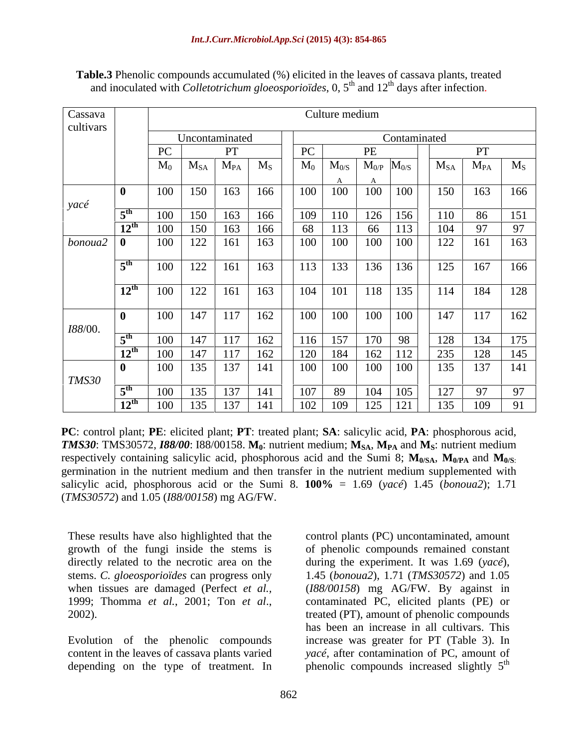| Cassava           |                                         |                | Culture medium                      |                    |            |                                                                    |                                                        |          |                |           |
|-------------------|-----------------------------------------|----------------|-------------------------------------|--------------------|------------|--------------------------------------------------------------------|--------------------------------------------------------|----------|----------------|-----------|
| cultivars         |                                         |                | Uncontaminated                      |                    |            |                                                                    | Contaminated                                           |          |                |           |
|                   |                                         |                |                                     |                    |            |                                                                    |                                                        |          | PT             |           |
|                   |                                         |                | $\rm M_0$ $\rm M_{SA}$ $\rm M_{PA}$ | $M_{S}$            |            |                                                                    | $\mid M_0 \mid M_{0/S} \mid M_{0/P} \mid M_{0/S} \mid$ | $M_{SA}$ | $M_{PA}$ $M_S$ |           |
|                   |                                         |                |                                     |                    |            |                                                                    |                                                        |          |                |           |
|                   |                                         | 100 150        |                                     | 163<br>166         | 100        | 100                                                                | $100 \mid 100 \mid$                                    | 150      |                | $163$ 166 |
| yacé              | $\sqrt{5^{th}}$                         | 100            | 150                                 | 163<br>166         | 109        | 110                                                                | 126<br>156                                             |          | 86             | 151       |
|                   | $12^{\text{th}}$                        | 100            | 150                                 | 166                | 68         |                                                                    | 113<br>66                                              | 104      | 97             | 97        |
| bonoua $2 \mid 0$ |                                         | 100            | 122                                 | 161<br>163         | 100        | 100                                                                | 100 100                                                | 122      | 161            | 163       |
|                   | $\sqrt{5^{th}}$                         |                | 122<br>161                          | 163                |            | $113$ 133                                                          | 136 136                                                | 125      |                | 167 166   |
|                   |                                         | 100            |                                     |                    |            |                                                                    |                                                        |          |                |           |
|                   | $12^{\text{th}}$                        |                | $100$ 122 161                       | 163                |            | $104$ 101                                                          | $118$   135   114                                      |          |                | 184   128 |
|                   |                                         |                |                                     |                    |            |                                                                    |                                                        |          |                |           |
|                   |                                         | $100 \mid 147$ |                                     | $\vert$ 117<br>162 | $\mid$ 100 | 100                                                                | 100 100                                                | 147      | $117$ 162      |           |
| 188/00.           | 5 <sup>th</sup>                         |                | 1.47                                | 117<br>162         | 116        | 157                                                                | 170<br>98                                              | 128      | 134            | 175       |
|                   | $12^{\text{th}}$                        | 100            | 147                                 | 117<br>162         | 120        | 184                                                                | 112<br>162                                             | 235      | 128            | 145       |
|                   |                                         | 100            | 135                                 | 137<br>141         | 100        | 100                                                                | $100 \mid 100 \mid$                                    | 135      | 137            | 141       |
| TMS30             |                                         |                |                                     |                    |            |                                                                    |                                                        |          |                |           |
|                   | 5 <sup>th</sup><br>$\overline{12^{th}}$ | 100            | 135                                 | 137<br>141         | 107        | 89                                                                 | 104<br>105                                             | 127      | 97             | 97        |
|                   |                                         | 100            | 135<br>$\vert$ 137                  | 141                |            | $\begin{array}{ c c c c c } \hline 102 & 109 \ \hline \end{array}$ | $125$   121                                            | 135      | 109            | -91       |

**Table.3** Phenolic compounds accumulated (%) elicited in the leaves of cassava plants, treated and inoculated with *Colletotrichum gloeosporioïdes*,  $0, 5<sup>th</sup>$  and  $12<sup>th</sup>$  days after infection.

**PC**: control plant; **PE**: elicited plant; **PT**: treated plant; **SA**: salicylic acid, **PA**: phosphorous acid, *TMS30***: TMS30572,** *I88/00***: I88/00158.**  $M_0$ **: nutrient medium;**  $M_{SA}$ **,**  $M_{PA}$  **and**  $M_S$ **: nutrient medium respectively containing salicylic acid, phosphorous acid and the Sumi 8;**  $M_{0/SA}$ **,**  $M_{0/PA}$  **and**  $M_{0/S}$ **.** germination in the nutrient medium and then transfer in the nutrient medium supplemented with salicylic acid, phosphorous acid or the Sumi 8. **100%** = 1.69 (*yacé*) 1.45 (*bonoua2*); 1.71 (*TMS30572*) and 1.05 (*I88/00158*) mg AG/FW.

Evolution of the phenolic compounds depending on the type of treatment. In

These results have also highlighted that the control plants (PC) uncontaminated, amount growth of the fungi inside the stems is of phenolic compounds remained constant directly related to the necrotic area on the during the experiment. It was 1.69 (*yacé*), stems. *C. gloeosporioïdes* can progress only 1.45 (*bonoua2*), 1.71 (*TMS30572*) and 1.05 when tissues are damaged (Perfect *et al.,* (*I88/00158*) mg AG/FW. By against in 1999; Thomma *et al.*, 2001; Ton *et al*., 2002). content in the leaves of cassava plants varied *yacé*, after contamination of PC, amount of contaminated PC, elicited plants (PE) or treated (PT), amount of phenolic compounds has been an increase in all cultivars. This increase was greater for PT (Table 3). In phenolic compounds increased slightly 5<sup>th</sup>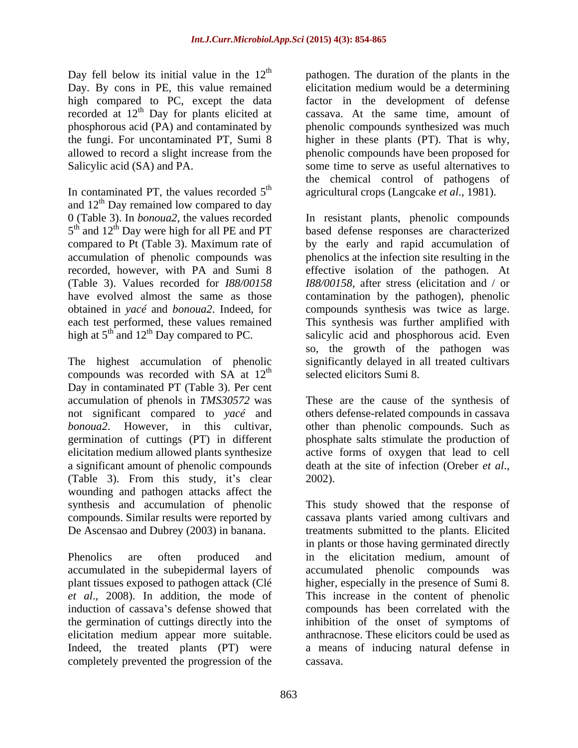Day fell below its initial value in the  $12<sup>th</sup>$  pathogen. The duration of the plants in the Day. By cons in PE, this value remained high compared to PC, except the data recorded at  $12<sup>th</sup>$  Day for plants elicited at phosphorous acid (PA) and contaminated by

and 12<sup>th</sup> Day remained low compared to day  $5<sup>th</sup>$  and  $12<sup>th</sup>$  Day were high for all PE and PT

compounds was recorded with SA at 12<sup>th</sup> Day in contaminated PT (Table 3). Per cent accumulation of phenols in *TMS30572* was These are the cause of the synthesis of not significant compared to *yacé* and others defense-related compounds in cassava *bonoua2*. However, in this cultivar, other than phenolic compounds. Such as germination of cuttings (PT) in different elicitation medium allowed plants synthesize active forms of oxygen that lead to cell a significant amount of phenolic compounds death at the site of infection (Oreber *et al.*, (Table 3). From this study, it's clear 2002). wounding and pathogen attacks affect the De Ascensao and Dubrey (2003) in banana.

the germination of cuttings directly into the completely prevented the progression of the

phosphorous acid (PA) and contaminated by phenolic compounds synthesized was much the fungi. For uncontaminated PT, Sumi 8 higher in these plants (PT). That is why, allowed to record a slight increase from the phenolic compounds have been proposed for Salicylic acid (SA) and PA. Some time to serve as useful alternatives to In contaminated PT, the values recorded  $5<sup>th</sup>$  agricultural crops (Langcake *et al.*, 1981). elicitation medium would be a determining factor in the development of defense cassava. At the same time, amount of the chemical control of pathogens of

0 (Table 3). In *bonoua2*, the values recorded In resistant plants, phenolic compounds 5<sup>th</sup> and 12<sup>th</sup> Day were high for all PE and PT based defense responses are characterized compared to Pt (Table 3). Maximum rate of by the early and rapid accumulation of accumulation of phenolic compounds was phenolics at the infection site resulting in the recorded, however, with PA and Sumi 8 effective isolation of the pathogen. At (Table 3). Values recorded for *I88/00158 I88/00158*, after stress (elicitation and / or have evolved almost the same as those contamination by the pathogen), phenolic obtained in *yacé* and *bonoua2*. Indeed, for compounds synthesis was twice as large. each test performed, these values remained This synthesis was further amplified with high at  $5^{\text{th}}$  and  $12^{\text{th}}$  Day compared to PC.<br>
so, the growth of the pathogen was<br>
The highest accumulation of phenolic significantly delayed in all treated cultivars th selected elicitors Sumi 8. salicylic acid and phosphorous acid. Even so, the growth of the pathogen was significantly delayed in all treated cultivars

> phosphate salts stimulate the production of death at the site of infection (Oreber *et al*., 2002).

synthesis and accumulation of phenolic This study showed that the response of compounds. Similar results were reported by cassava plants varied among cultivars and Phenolics are often produced and in the elicitation medium, amount of accumulated in the subepidermal layers of accumulated phenolic compounds was plant tissues exposed to pathogen attack (Clé higher, especially in the presence of Sumi 8. *et al*., 2008). In addition, the mode of This increase in the content of phenolic induction of cassava's defense showed that compounds has been correlated with the elicitation medium appear more suitable. Anthracnose. These elicitors could be used as Indeed, the treated plants (PT) were a means of inducing natural defense in treatments submitted to the plants. Elicited in plants or those having germinated directly inhibition of the onset of symptoms of cassava.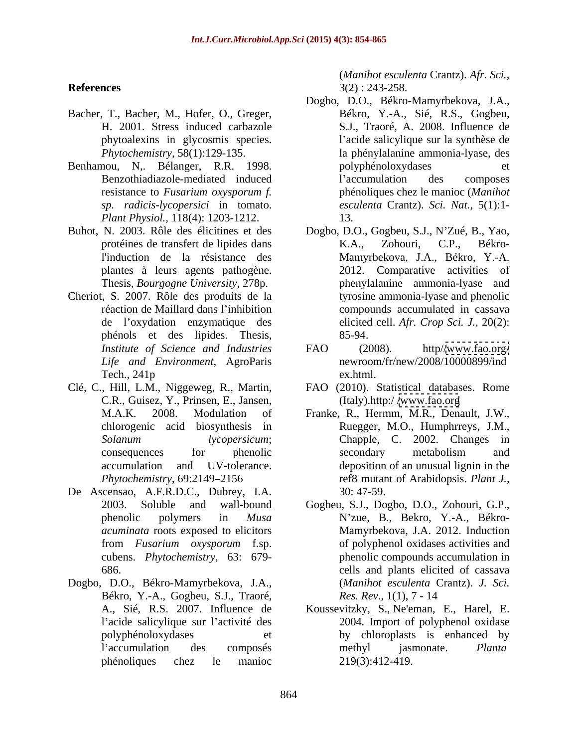- Bacher, T., Bacher, M., Hofer, O., Greger,
- Benhamou, N<sub>y</sub>. Bélanger, R.R. 1998. polyphénoloxydases et *Plant Physiol.,* 118(4): 1203-1212.
- plantes à leurs agents pathogène.
- Cheriot, S. 2007. Rôle des produits de la phénols et des lipides. Thesis, *Life and Environment*, AgroParis
- Clé, C., Hill, L.M., Niggeweg, R., Martin, C.R., Guisez, Y., Prinsen, E., Jansen,
- De Ascensao, A.F.R.D.C., Dubrey, I.A. *acuminata* roots exposed to elicitors cubens. *Phytochemistry,* 63: 679-
- Dogbo, D.O., Békro-Mamyrbekova, J.A., Békro, Y.-A., Gogbeu, S.J., Traoré,

**References** 3(2) : 243-258. (*Manihot esculenta* Crantz). *Afr. Sci.,*  $3(2)$ : 243-258.

- H. 2001. Stress induced carbazole S.J., Traoré, A. 2008. Influence de phytoalexins in glycosmis species. l'acide salicylique sur la synthèse de *Phytochemistry,* 58(1):129-135. la phénylalanine ammonia-lyase, des Benzothiadiazole-mediated induced resistance to *Fusarium oxysporum f. sp. radicis-lycopersici* in tomato. *esculenta* Crantz). *Sci. Nat.,* 5(1):1- Dogbo, D.O., Békro-Mamyrbekova, J.A., Békro, Y.-A., Sié, R.S., Gogbeu, polyphénoloxydases et l'accumulation des composes phénoliques chez le manioc (*Manihot*  13.
- Buhot, N. 2003. Rôle des élicitines et des Dogbo, D.O., Gogbeu, S.J., N Zué, B., Yao, protéines de transfert de lipides dans K.A., Zohouri, C.P., Békrol'induction de la résistance des Mamyrbekova, J.A., Békro, Y.-A. Thesis, *Bourgogne University*, 278p. phenylalanine ammonia-lyase and réaction de Maillard dans l'inhibition compounds accumulated in cassava de l'oxydation enzymatique des elicited cell. *Afr. Crop Sci. J.*, 20(2): K.A., Zohouri, C.P., Békro- 2012. Comparative activities of tyrosine ammonia-lyase and phenolic 85-94.
	- *Institute of Science and Industries* Tech., 241p ex.html. FAO (2008). http/[/www.fao.org/](http://www.fao.org/) newroom/fr/new/2008/10000899/ind ex.html.
		- FAO (2010). Statistical databases. Rome (Italy).http:/ [/www.fao.org](http://www.fao.org)
	- M.A.K. 2008. Modulation of Franke, R., Hermm, M.R., Denault, J.W., chlorogenic acid biosynthesis in Ruegger, M.O., Humphrreys, J.M., *Solanum lycopersicum*; consequences for phenolic secondary metabolism and accumulation and UV-tolerance. deposition of an unusual lignin in the *Phytochemistry*, 69:2149 2156 ref8 mutant of Arabidopsis. *Plant J.,* Chapple, C. 2002. Changes in secondary metabolism and 30: 47-59.
	- 2003. Soluble and wall-bound Gogbeu, S.J., Dogbo, D.O., Zohouri, G.P., phenolic polymers in *Musa*  N zue, B., Bekro, Y.-A., Békro from *Fusarium oxysporum* f.sp. 686. cells and plants elicited of cassava Mamyrbekova, J.A. 2012. Induction of polyphenol oxidases activities and phenolic compounds accumulation in (*Manihot esculenta* Crantz). *J. Sci. Res. Rev.,* 1(1), 7 - 14
	- A., Sié, R.S. 2007. Influence de Koussevitzky, S., Ne'eman, E., Harel, E. l'acide salicylique sur l'activité des 2004. Import of polyphenol oxidase polyphénoloxydases et by chloroplasts is enhanced by l'accumulation des composés methyl jasmonate. Planta phénoliques chez le manioc Koussevitzky, S., Ne'eman, E., Harel, E. 2004. Import of polyphenol oxidase methyl jasmonate. *Planta* 219(3):412-419.